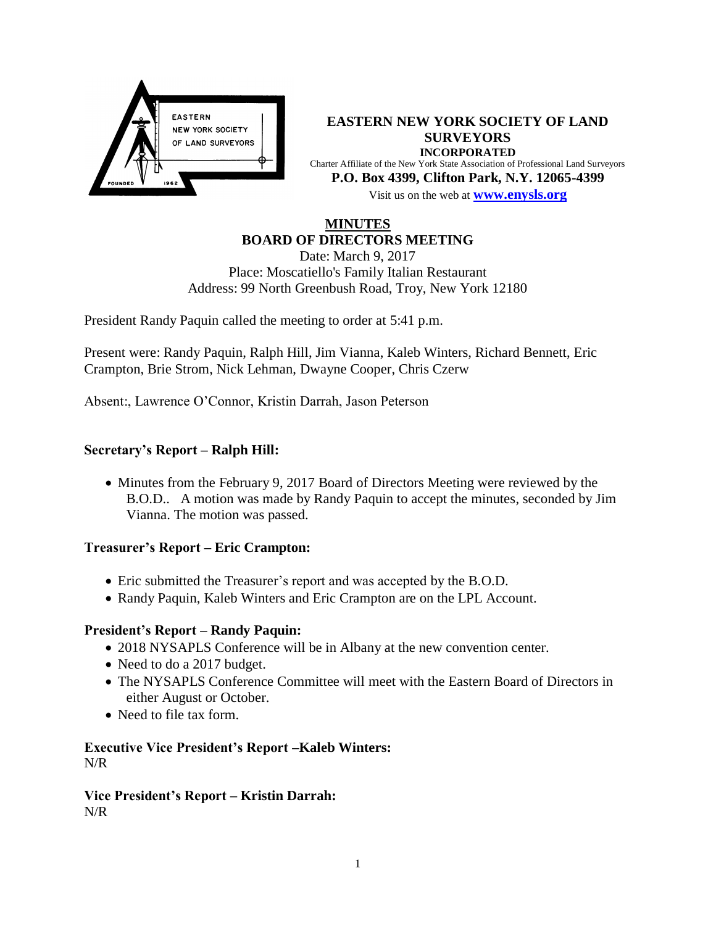

**EASTERN NEW YORK SOCIETY OF LAND SURVEYORS INCORPORATED** Charter Affiliate of the New York State Association of Professional Land Surveyors **P.O. Box 4399, Clifton Park, N.Y. 12065-4399** Visit us on the web at **[www.e](http://www.enysls.org/)nysls.org**

# **MINUTES BOARD OF DIRECTORS MEETING**

Date: March 9, 2017 Place: Moscatiello's Family Italian Restaurant Address: 99 North Greenbush Road, Troy, New York 12180

President Randy Paquin called the meeting to order at 5:41 p.m.

Present were: Randy Paquin, Ralph Hill, Jim Vianna, Kaleb Winters, Richard Bennett, Eric Crampton, Brie Strom, Nick Lehman, Dwayne Cooper, Chris Czerw

Absent:, Lawrence O'Connor, Kristin Darrah, Jason Peterson

## **Secretary's Report – Ralph Hill:**

• Minutes from the February 9, 2017 Board of Directors Meeting were reviewed by the B.O.D.. A motion was made by Randy Paquin to accept the minutes, seconded by Jim Vianna. The motion was passed.

#### **Treasurer's Report – Eric Crampton:**

- Eric submitted the Treasurer's report and was accepted by the B.O.D.
- Randy Paquin, Kaleb Winters and Eric Crampton are on the LPL Account.

## **President's Report – Randy Paquin:**

- 2018 NYSAPLS Conference will be in Albany at the new convention center.
- Need to do a 2017 budget.
- The NYSAPLS Conference Committee will meet with the Eastern Board of Directors in either August or October.
- Need to file tax form.

### **Executive Vice President's Report –Kaleb Winters:** N/R

#### **Vice President's Report – Kristin Darrah:**  N/R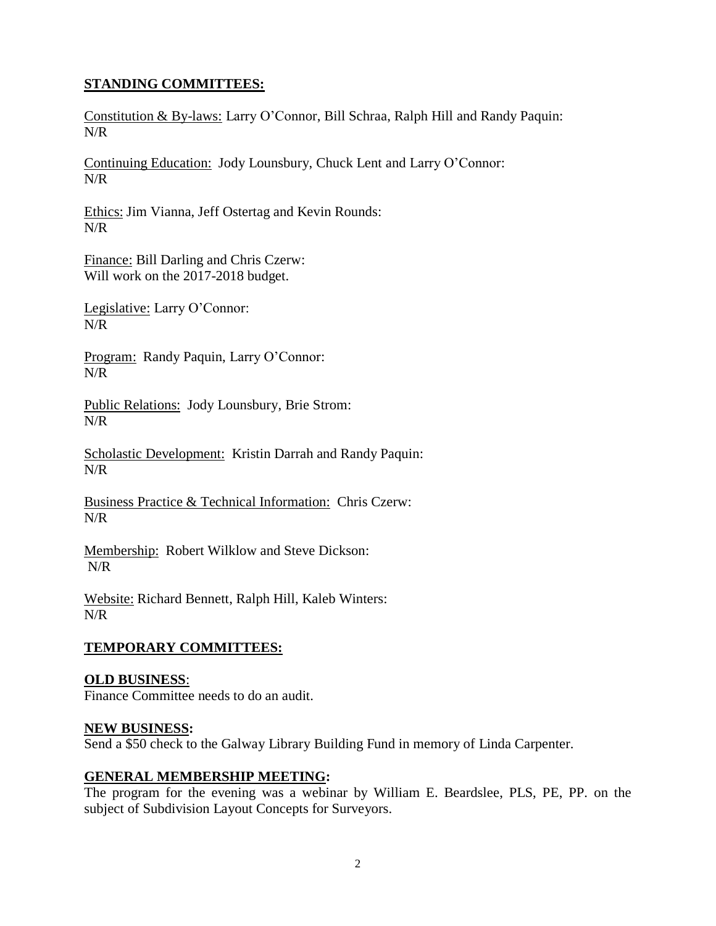# **STANDING COMMITTEES:**

Constitution & By-laws: Larry O'Connor, Bill Schraa, Ralph Hill and Randy Paquin: N/R

Continuing Education: Jody Lounsbury, Chuck Lent and Larry O'Connor: N/R

Ethics: Jim Vianna, Jeff Ostertag and Kevin Rounds: N/R

Finance: Bill Darling and Chris Czerw: Will work on the 2017-2018 budget.

Legislative: Larry O'Connor: N/R

Program: Randy Paquin, Larry O'Connor: N/R

Public Relations: Jody Lounsbury, Brie Strom: N/R

Scholastic Development: Kristin Darrah and Randy Paquin: N/R

Business Practice & Technical Information: Chris Czerw: N/R

Membership: Robert Wilklow and Steve Dickson: N/R

Website: Richard Bennett, Ralph Hill, Kaleb Winters: N/R

## **TEMPORARY COMMITTEES:**

## **OLD BUSINESS**:

Finance Committee needs to do an audit.

### **NEW BUSINESS:**

Send a \$50 check to the Galway Library Building Fund in memory of Linda Carpenter.

## **GENERAL MEMBERSHIP MEETING:**

The program for the evening was a webinar by William E. Beardslee, PLS, PE, PP. on the subject of Subdivision Layout Concepts for Surveyors.